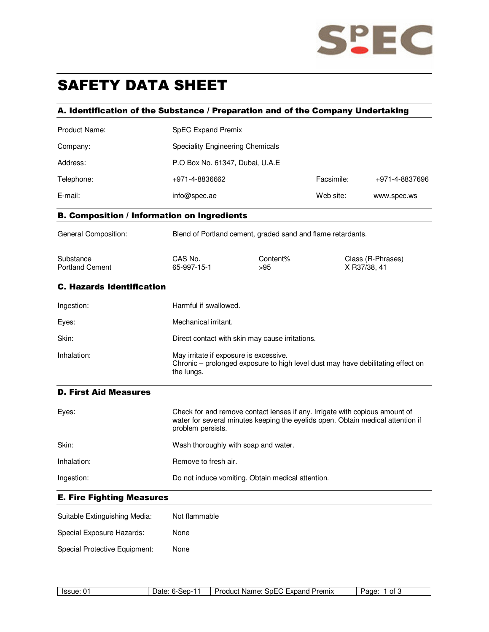

# SAFETY DATA SHEET

## A. Identification of the Substance / Preparation and of the Company Undertaking

| Product Name:                                      | <b>SpEC Expand Premix</b>                                                                                                                                                           |                   |            |                                   |
|----------------------------------------------------|-------------------------------------------------------------------------------------------------------------------------------------------------------------------------------------|-------------------|------------|-----------------------------------|
| Company:                                           | <b>Speciality Engineering Chemicals</b>                                                                                                                                             |                   |            |                                   |
| Address:                                           | P.O Box No. 61347, Dubai, U.A.E                                                                                                                                                     |                   |            |                                   |
| Telephone:                                         | +971-4-8836662                                                                                                                                                                      |                   | Facsimile: | +971-4-8837696                    |
| E-mail:                                            | info@spec.ae                                                                                                                                                                        |                   | Web site:  | www.spec.ws                       |
| <b>B. Composition / Information on Ingredients</b> |                                                                                                                                                                                     |                   |            |                                   |
| General Composition:                               | Blend of Portland cement, graded sand and flame retardants.                                                                                                                         |                   |            |                                   |
| Substance<br><b>Portland Cement</b>                | CAS No.<br>65-997-15-1                                                                                                                                                              | Content%<br>$>95$ |            | Class (R-Phrases)<br>X R37/38, 41 |
| <b>C. Hazards Identification</b>                   |                                                                                                                                                                                     |                   |            |                                   |
| Ingestion:                                         | Harmful if swallowed.                                                                                                                                                               |                   |            |                                   |
| Eyes:                                              | Mechanical irritant.                                                                                                                                                                |                   |            |                                   |
| Skin:                                              | Direct contact with skin may cause irritations.                                                                                                                                     |                   |            |                                   |
| Inhalation:                                        | May irritate if exposure is excessive.<br>Chronic – prolonged exposure to high level dust may have debilitating effect on<br>the lungs.                                             |                   |            |                                   |
| <b>D. First Aid Measures</b>                       |                                                                                                                                                                                     |                   |            |                                   |
| Eyes:                                              | Check for and remove contact lenses if any. Irrigate with copious amount of<br>water for several minutes keeping the eyelids open. Obtain medical attention if<br>problem persists. |                   |            |                                   |
| Skin:                                              | Wash thoroughly with soap and water.                                                                                                                                                |                   |            |                                   |

Inhalation: Remove to fresh air. Ingestion: Do not induce vomiting. Obtain medical attention.

## E. Fire Fighting Measures

| Suitable Extinguishing Media: | Not flammable |
|-------------------------------|---------------|
| Special Exposure Hazards:     | None          |
| Special Protective Equipment: | None          |

| ser<br>. . | Premix<br>.⊰n⊢<br><b>Jenni</b><br>Name:<br>duct<br>-xpanu<br>-- | ---<br>∩t<br>н∩ғ<br>ັບເ |
|------------|-----------------------------------------------------------------|-------------------------|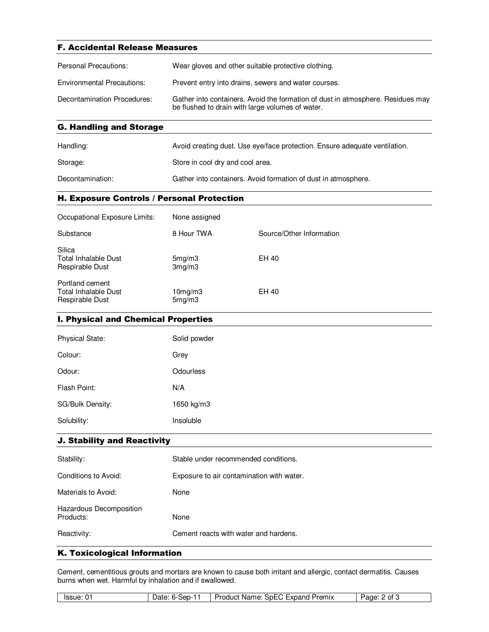| <b>F. Accidental Release Measures</b> |                                                                                                                                     |  |
|---------------------------------------|-------------------------------------------------------------------------------------------------------------------------------------|--|
| <b>Personal Precautions:</b>          | Wear gloves and other suitable protective clothing.                                                                                 |  |
| <b>Environmental Precautions:</b>     | Prevent entry into drains, sewers and water courses.                                                                                |  |
| Decontamination Procedures:           | Gather into containers. Avoid the formation of dust in atmosphere. Residues may<br>be flushed to drain with large volumes of water. |  |

|  | <b>G. Handling and Storage</b> |  |  |  |
|--|--------------------------------|--|--|--|
|--|--------------------------------|--|--|--|

| Handling:        | Avoid creating dust. Use eye/face protection. Ensure adequate ventilation. |
|------------------|----------------------------------------------------------------------------|
| Storage:         | Store in cool dry and cool area.                                           |
| Decontamination: | Gather into containers. Avoid formation of dust in atmosphere.             |

#### H. Exposure Controls / Personal Protection

| Occupational Exposure Limits:                              | None assigned           |                          |
|------------------------------------------------------------|-------------------------|--------------------------|
| Substance                                                  | 8 Hour TWA              | Source/Other Information |
| Silica<br><b>Total Inhalable Dust</b><br>Respirable Dust   | 5mg/m3<br>3mg/m3        | EH 40                    |
| Portland cement<br>Total Inhalable Dust<br>Respirable Dust | $10$ mg/m $3$<br>5mg/m3 | EH 40                    |

### I. Physical and Chemical Properties

| <b>Physical State:</b> | Solid powder |
|------------------------|--------------|
| Colour:                | Grey         |
| Odour:                 | Odourless    |
| Flash Point:           | N/A          |
| SG/Bulk Density:       | 1650 kg/m3   |
| Solubility:            | Insoluble    |

#### J. Stability and Reactivity

| Stability:                           | Stable under recommended conditions.      |
|--------------------------------------|-------------------------------------------|
| Conditions to Avoid:                 | Exposure to air contamination with water. |
| Materials to Avoid:                  | None                                      |
| Hazardous Decomposition<br>Products: | None                                      |
| Reactivity:                          | Cement reacts with water and hardens.     |

#### K. Toxicological Information

Cement, cementitious grouts and mortars are known to cause both irritant and allergic, contact dermatitis. Causes burns when wet. Harmful by inhalation and if swallowed.

| lssue <sup>-</sup><br>C Expand<br>Premix<br>Product<br>.≾n⊢(<br>Name:<br>sep-1<br>Οt<br>∙aαe<br>лате<br>. . |
|-------------------------------------------------------------------------------------------------------------|
|-------------------------------------------------------------------------------------------------------------|